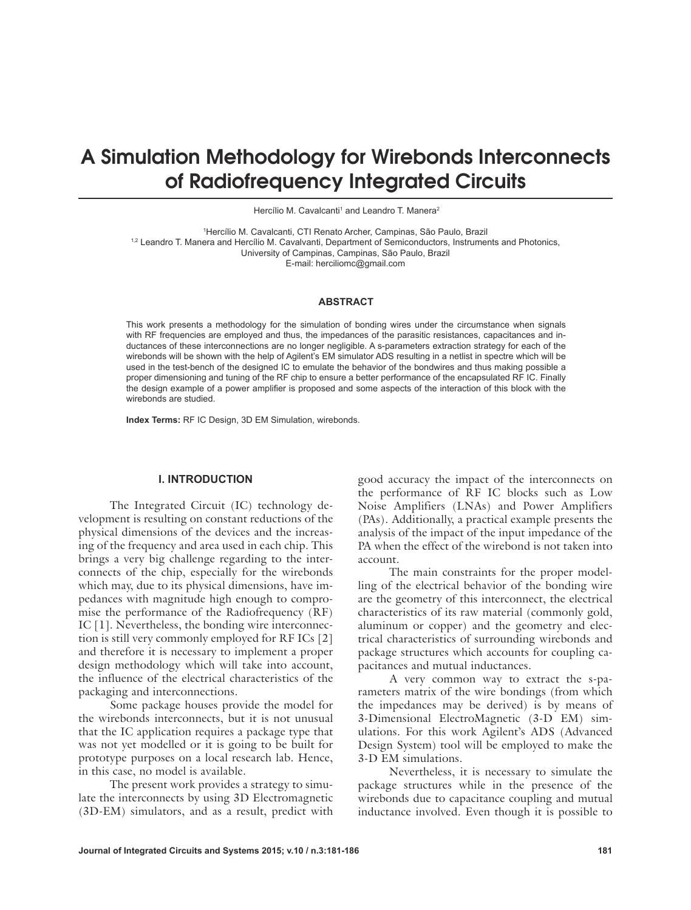# A Simulation Methodology for Wirebonds Interconnects of Radiofrequency Integrated Circuits

Hercílio M. Cavalcanti<sup>1</sup> and Leandro T. Manera<sup>2</sup>

<sup>1</sup>Hercílio M. Cavalcanti, CTI Renato Archer, Campinas, São Paulo, Brazil 1,2 Leandro T. Manera and Hercílio M. Cavalvanti, Department of Semiconductors, Instruments and Photonics, University of Campinas, Campinas, São Paulo, Brazil E-mail: herciliomc@gmail.com

#### **ABSTRACT**

This work presents a methodology for the simulation of bonding wires under the circumstance when signals with RF frequencies are employed and thus, the impedances of the parasitic resistances, capacitances and inductances of these interconnections are no longer negligible. A s-parameters extraction strategy for each of the wirebonds will be shown with the help of Agilent's EM simulator ADS resulting in a netlist in spectre which will be used in the test-bench of the designed IC to emulate the behavior of the bondwires and thus making possible a proper dimensioning and tuning of the RF chip to ensure a better performance of the encapsulated RF IC. Finally the design example of a power amplifier is proposed and some aspects of the interaction of this block with the wirebonds are studied.

**Index Terms:** RF IC Design, 3D EM Simulation, wirebonds.

#### **I. INTRODUCTION**

The Integrated Circuit (IC) technology development is resulting on constant reductions of the physical dimensions of the devices and the increasing of the frequency and area used in each chip. This brings a very big challenge regarding to the interconnects of the chip, especially for the wirebonds which may, due to its physical dimensions, have impedances with magnitude high enough to compromise the performance of the Radiofrequency (RF) IC [1]. Nevertheless, the bonding wire interconnection is still very commonly employed for RF ICs [2] and therefore it is necessary to implement a proper design methodology which will take into account, the influence of the electrical characteristics of the packaging and interconnections.

Some package houses provide the model for the wirebonds interconnects, but it is not unusual that the IC application requires a package type that was not yet modelled or it is going to be built for prototype purposes on a local research lab. Hence, in this case, no model is available.

The present work provides a strategy to simulate the interconnects by using 3D Electromagnetic (3D-EM) simulators, and as a result, predict with good accuracy the impact of the interconnects on the performance of RF IC blocks such as Low Noise Amplifiers (LNAs) and Power Amplifiers (PAs). Additionally, a practical example presents the analysis of the impact of the input impedance of the PA when the effect of the wirebond is not taken into account.

The main constraints for the proper modelling of the electrical behavior of the bonding wire are the geometry of this interconnect, the electrical characteristics of its raw material (commonly gold, aluminum or copper) and the geometry and electrical characteristics of surrounding wirebonds and package structures which accounts for coupling capacitances and mutual inductances.

A very common way to extract the s-parameters matrix of the wire bondings (from which the impedances may be derived) is by means of 3-Dimensional ElectroMagnetic (3-D EM) simulations. For this work Agilent's ADS (Advanced Design System) tool will be employed to make the 3-D EM simulations.

Nevertheless, it is necessary to simulate the package structures while in the presence of the wirebonds due to capacitance coupling and mutual inductance involved. Even though it is possible to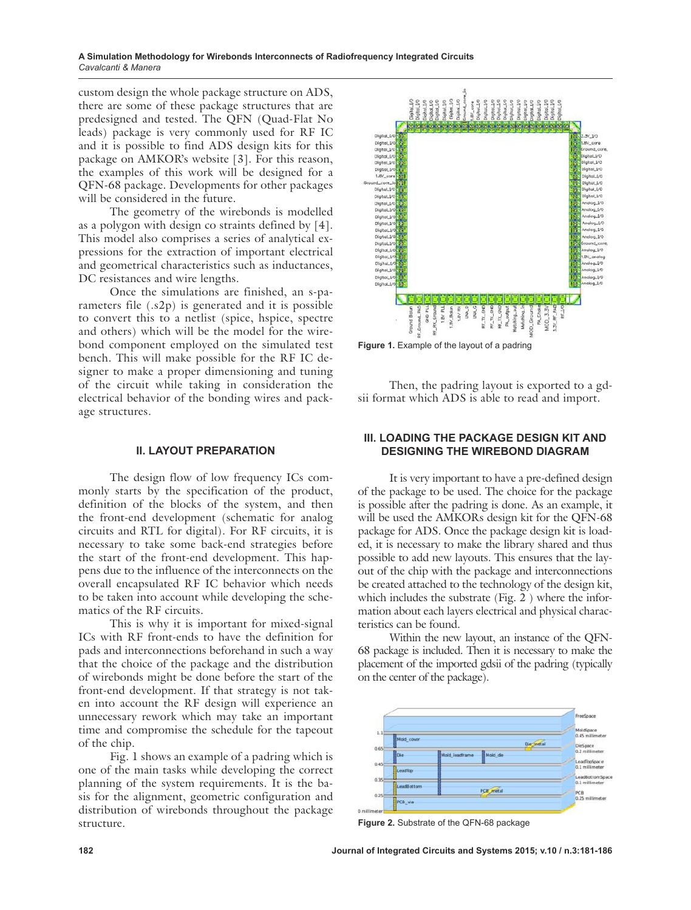**A Simulation Methodology for Wirebonds Interconnects of Radiofrequency Integrated Circuits** *Cavalcanti & Manera*

custom design the whole package structure on ADS, there are some of these package structures that are predesigned and tested. The QFN (Quad-Flat No leads) package is very commonly used for RF IC and it is possible to find ADS design kits for this package on AMKOR's website [3]. For this reason, the examples of this work will be designed for a QFN-68 package. Developments for other packages will be considered in the future.

The geometry of the wirebonds is modelled as a polygon with design co straints defined by [4]. This model also comprises a series of analytical expressions for the extraction of important electrical and geometrical characteristics such as inductances, DC resistances and wire lengths.

Once the simulations are finished, an s-parameters file (.s2p) is generated and it is possible to convert this to a netlist (spice, hspice, spectre and others) which will be the model for the wirebond component employed on the simulated test bench. This will make possible for the RF IC designer to make a proper dimensioning and tuning of the circuit while taking in consideration the electrical behavior of the bonding wires and package structures.

#### **II. LAYOUT PREPARATION**

The design flow of low frequency ICs commonly starts by the specification of the product, definition of the blocks of the system, and then the front-end development (schematic for analog circuits and RTL for digital). For RF circuits, it is necessary to take some back-end strategies before the start of the front-end development. This happens due to the influence of the interconnects on the overall encapsulated RF IC behavior which needs to be taken into account while developing the schematics of the RF circuits.

This is why it is important for mixed-signal ICs with RF front-ends to have the definition for pads and interconnections beforehand in such a way that the choice of the package and the distribution of wirebonds might be done before the start of the front-end development. If that strategy is not taken into account the RF design will experience an unnecessary rework which may take an important time and compromise the schedule for the tapeout of the chip.

Fig. 1 shows an example of a padring which is one of the main tasks while developing the correct planning of the system requirements. It is the basis for the alignment, geometric configuration and distribution of wirebonds throughout the package structure.



**Figure 1.** Example of the layout of a padring

Then, the padring layout is exported to a gdsii format which ADS is able to read and import.

# **III. LOADING THE PACKAGE DESIGN KIT AND DESIGNING THE WIREBOND DIAGRAM**

It is very important to have a pre-defined design of the package to be used. The choice for the package is possible after the padring is done. As an example, it will be used the AMKORs design kit for the QFN-68 package for ADS. Once the package design kit is loaded, it is necessary to make the library shared and thus possible to add new layouts. This ensures that the layout of the chip with the package and interconnections be created attached to the technology of the design kit, which includes the substrate (Fig. 2 ) where the information about each layers electrical and physical characteristics can be found.

Within the new layout, an instance of the QFN-68 package is included. Then it is necessary to make the placement of the imported gdsii of the padring (typically on the center of the package).



**Figure 2.** Substrate of the QFN-68 package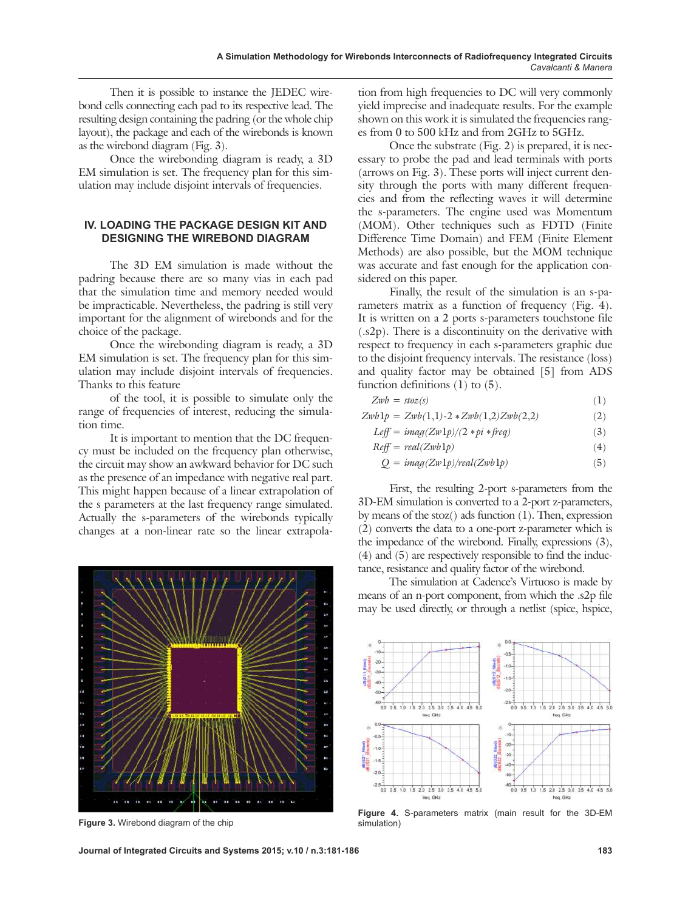Then it is possible to instance the JEDEC wirebond cells connecting each pad to its respective lead. The resulting design containing the padring (or the whole chip layout), the package and each of the wirebonds is known as the wirebond diagram (Fig. 3).

Once the wirebonding diagram is ready, a 3D EM simulation is set. The frequency plan for this simulation may include disjoint intervals of frequencies.

# **IV. LOADING THE PACKAGE DESIGN KIT AND DESIGNING THE WIREBOND DIAGRAM**

The 3D EM simulation is made without the padring because there are so many vias in each pad that the simulation time and memory needed would be impracticable. Nevertheless, the padring is still very important for the alignment of wirebonds and for the choice of the package.

Once the wirebonding diagram is ready, a 3D EM simulation is set. The frequency plan for this simulation may include disjoint intervals of frequencies. Thanks to this feature

of the tool, it is possible to simulate only the range of frequencies of interest, reducing the simulation time.

It is important to mention that the DC frequency must be included on the frequency plan otherwise, the circuit may show an awkward behavior for DC such as the presence of an impedance with negative real part. This might happen because of a linear extrapolation of the s parameters at the last frequency range simulated. Actually the s-parameters of the wirebonds typically changes at a non-linear rate so the linear extrapola-



**Figure 3.** Wirebond diagram of the chip

**Journal of Integrated Circuits and Systems 2015; v.10 / n.3:181-186 183**

tion from high frequencies to DC will very commonly yield imprecise and inadequate results. For the example shown on this work it is simulated the frequencies ranges from 0 to 500 kHz and from 2GHz to 5GHz.

Once the substrate (Fig. 2) is prepared, it is necessary to probe the pad and lead terminals with ports (arrows on Fig. 3). These ports will inject current density through the ports with many different frequencies and from the reflecting waves it will determine the s-parameters. The engine used was Momentum (MOM). Other techniques such as FDTD (Finite Difference Time Domain) and FEM (Finite Element Methods) are also possible, but the MOM technique was accurate and fast enough for the application considered on this paper.

Finally, the result of the simulation is an s-parameters matrix as a function of frequency (Fig. 4). It is written on a 2 ports s-parameters touchstone file (.s2p). There is a discontinuity on the derivative with respect to frequency in each s-parameters graphic due to the disjoint frequency intervals. The resistance (loss) and quality factor may be obtained [5] from ADS function definitions (1) to (5).

| $Zwb = stoz(s)$ | (1) |
|-----------------|-----|
|-----------------|-----|

$$
Zwb1p = Zwb(1,1)-2 * Zwb(1,2)Zwb(2,2)
$$
\n
$$
L_2C = imz/(Zmb)/(2 + bi \cdot fyz)
$$
\n(2)

$$
Left = \text{imag}(Zw1p)/(Z*p1*freq) \tag{3}
$$

$$
Reff = real(Zwblp)
$$
\n(4)

$$
Q = imag(Zw1p)/real(Zwb1p)
$$
 (5)

First, the resulting 2-port s-parameters from the 3D-EM simulation is converted to a 2-port z-parameters, by means of the stoz() ads function (1). Then, expression (2) converts the data to a one-port z-parameter which is the impedance of the wirebond. Finally, expressions (3), (4) and (5) are respectively responsible to find the inductance, resistance and quality factor of the wirebond.

The simulation at Cadence's Virtuoso is made by means of an n-port component, from which the .s2p file may be used directly, or through a netlist (spice, hspice,



**Figure 4.** S-parameters matrix (main result for the 3D-EM simulation)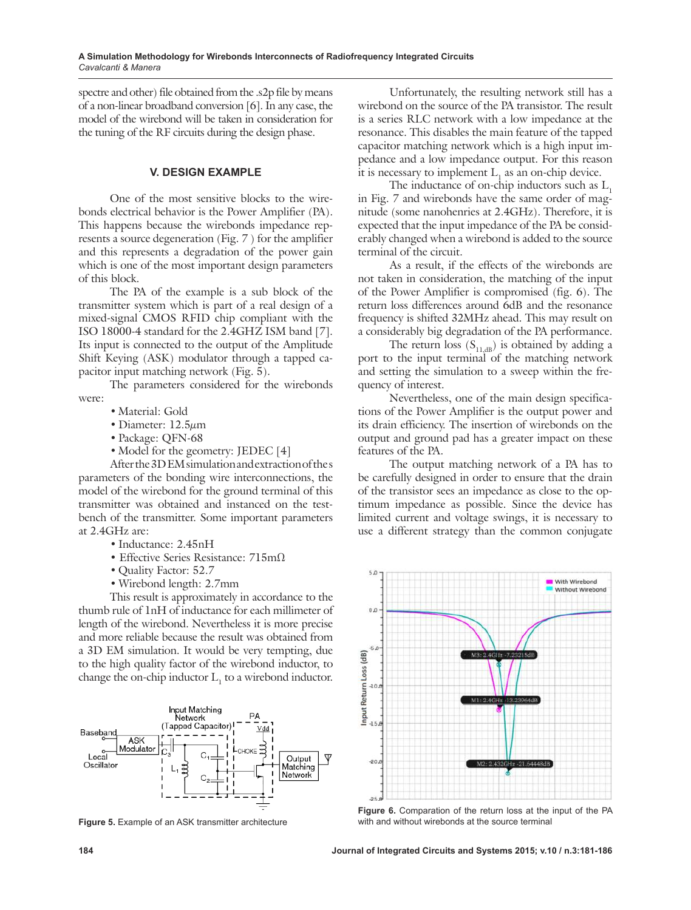spectre and other) file obtained from the .s2p file by means of a non-linear broadband conversion [6]. In any case, the model of the wirebond will be taken in consideration for the tuning of the RF circuits during the design phase.

#### **V. DESIGN EXAMPLE**

One of the most sensitive blocks to the wirebonds electrical behavior is the Power Amplifier (PA). This happens because the wirebonds impedance represents a source degeneration (Fig. 7 ) for the amplifier and this represents a degradation of the power gain which is one of the most important design parameters of this block.

The PA of the example is a sub block of the transmitter system which is part of a real design of a mixed-signal CMOS RFID chip compliant with the ISO 18000-4 standard for the 2.4GHZ ISM band [7]. Its input is connected to the output of the Amplitude Shift Keying (ASK) modulator through a tapped capacitor input matching network (Fig. 5).

The parameters considered for the wirebonds were:

- Material: Gold
- • Diameter: 12.5*µ*m
- Package: QFN-68
- Model for the geometry: JEDEC [4]

After the 3D EM simulation and extraction of the s parameters of the bonding wire interconnections, the model of the wirebond for the ground terminal of this transmitter was obtained and instanced on the testbench of the transmitter. Some important parameters at 2.4GHz are:

- Inductance: 2.45nH
- Effective Series Resistance: 715mΩ
- Quality Factor: 52.7
- Wirebond length: 2.7mm

This result is approximately in accordance to the thumb rule of 1nH of inductance for each millimeter of length of the wirebond. Nevertheless it is more precise and more reliable because the result was obtained from a 3D EM simulation. It would be very tempting, due to the high quality factor of the wirebond inductor, to change the on-chip inductor  $L_1$  to a wirebond inductor.



**Figure 5.** Example of an ASK transmitter architecture

Unfortunately, the resulting network still has a wirebond on the source of the PA transistor. The result is a series RLC network with a low impedance at the resonance. This disables the main feature of the tapped capacitor matching network which is a high input impedance and a low impedance output. For this reason it is necessary to implement  $L_1$  as an on-chip device.

The inductance of on-chip inductors such as  $L<sub>1</sub>$ in Fig. 7 and wirebonds have the same order of magnitude (some nanohenries at 2.4GHz). Therefore, it is expected that the input impedance of the PA be considerably changed when a wirebond is added to the source terminal of the circuit.

As a result, if the effects of the wirebonds are not taken in consideration, the matching of the input of the Power Amplifier is compromised (fig. 6). The return loss differences around 6dB and the resonance frequency is shifted 32MHz ahead. This may result on a considerably big degradation of the PA performance.

The return loss  $(S<sub>11, dB</sub>)$  is obtained by adding a port to the input terminal of the matching network and setting the simulation to a sweep within the frequency of interest.

Nevertheless, one of the main design specifications of the Power Amplifier is the output power and its drain efficiency. The insertion of wirebonds on the output and ground pad has a greater impact on these features of the PA.

The output matching network of a PA has to be carefully designed in order to ensure that the drain of the transistor sees an impedance as close to the optimum impedance as possible. Since the device has limited current and voltage swings, it is necessary to use a different strategy than the common conjugate



**Figure 6.** Comparation of the return loss at the input of the PA with and without wirebonds at the source terminal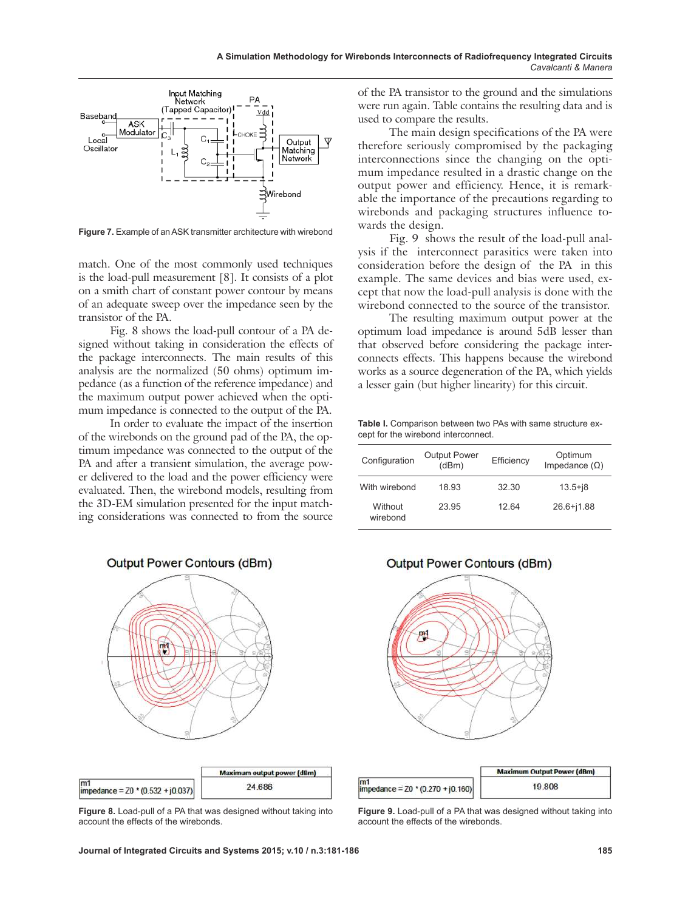

**Figure 7.** Example of an ASK transmitter architecture with wirebond

match. One of the most commonly used techniques is the load-pull measurement [8]. It consists of a plot on a smith chart of constant power contour by means of an adequate sweep over the impedance seen by the transistor of the PA.

Fig. 8 shows the load-pull contour of a PA designed without taking in consideration the effects of the package interconnects. The main results of this analysis are the normalized (50 ohms) optimum impedance (as a function of the reference impedance) and the maximum output power achieved when the optimum impedance is connected to the output of the PA.

In order to evaluate the impact of the insertion of the wirebonds on the ground pad of the PA, the optimum impedance was connected to the output of the PA and after a transient simulation, the average power delivered to the load and the power efficiency were evaluated. Then, the wirebond models, resulting from the 3D-EM simulation presented for the input matching considerations was connected to from the source of the PA transistor to the ground and the simulations were run again. Table contains the resulting data and is used to compare the results.

The main design specifications of the PA were therefore seriously compromised by the packaging interconnections since the changing on the optimum impedance resulted in a drastic change on the output power and efficiency. Hence, it is remarkable the importance of the precautions regarding to wirebonds and packaging structures influence towards the design.

Fig. 9 shows the result of the load-pull analysis if the interconnect parasitics were taken into consideration before the design of the PA in this example. The same devices and bias were used, except that now the load-pull analysis is done with the wirebond connected to the source of the transistor.

The resulting maximum output power at the optimum load impedance is around 5dB lesser than that observed before considering the package interconnects effects. This happens because the wirebond works as a source degeneration of the PA, which yields a lesser gain (but higher linearity) for this circuit.

Table I. Comparison between two PAs with same structure except for the wirebond interconnect.

| Configuration       | <b>Output Power</b><br>(dBm) | Efficiency | Optimum<br>Impedance $(\Omega)$ |
|---------------------|------------------------------|------------|---------------------------------|
| With wirebond       | 18 93                        | 32.30      | $13.5 + j8$                     |
| Without<br>wirebond | 23.95                        | 1264       | $26.6 + j1.88$                  |



Output Power Contours (dBm)



 $\overline{m1}$ 

# **Output Power Contours (dBm)**



|                                           | <b>Maximum Output Power (dBm)</b> |  |
|-------------------------------------------|-----------------------------------|--|
| 'n1<br>mpedance = $20 * (0.270 + 10.160)$ | 19.808                            |  |

**Figure 9.** Load-pull of a PA that was designed without taking into account the effects of the wirebonds.